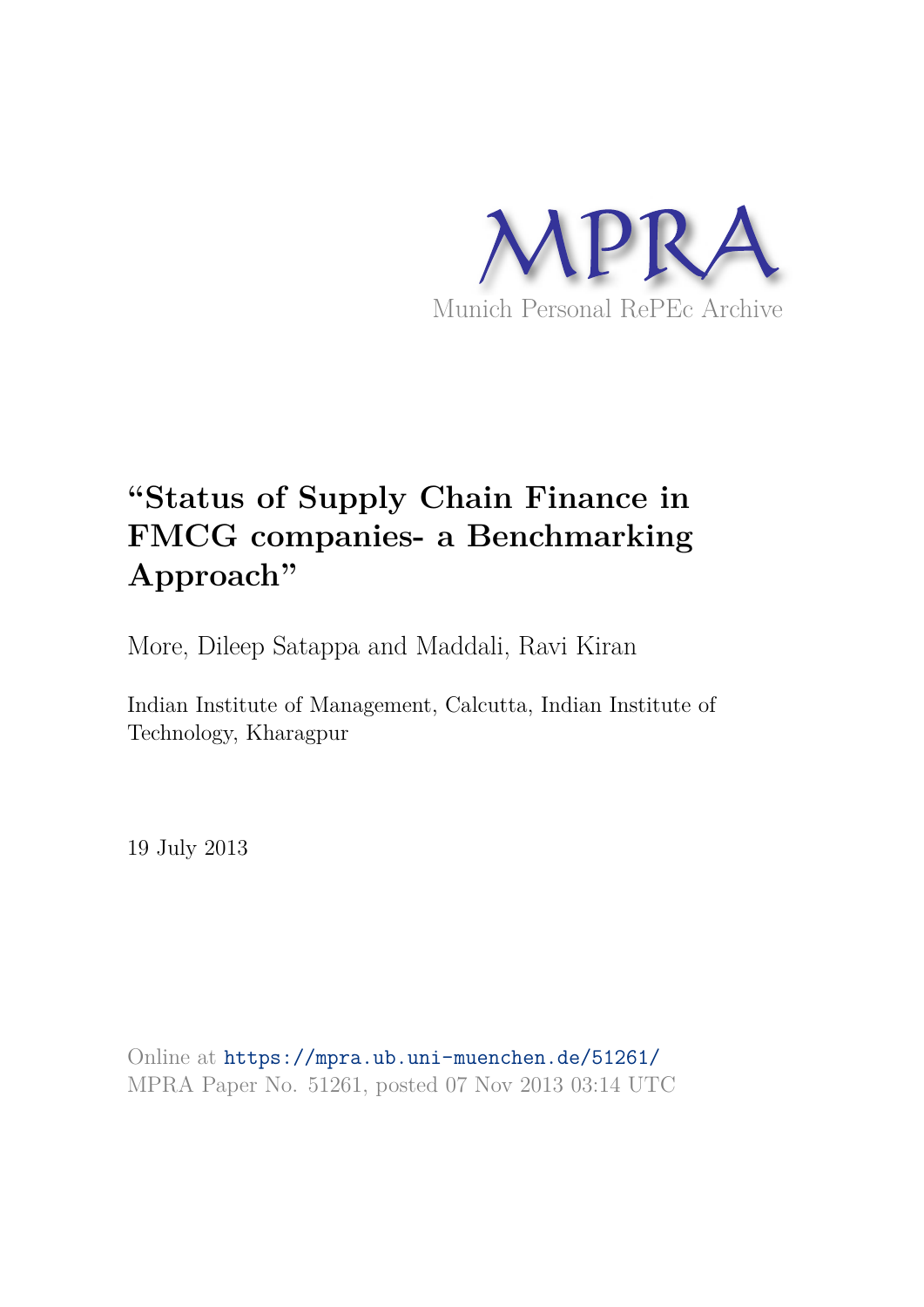

# **"Status of Supply Chain Finance in FMCG companies- a Benchmarking Approach"**

More, Dileep Satappa and Maddali, Ravi Kiran

Indian Institute of Management, Calcutta, Indian Institute of Technology, Kharagpur

19 July 2013

Online at https://mpra.ub.uni-muenchen.de/51261/ MPRA Paper No. 51261, posted 07 Nov 2013 03:14 UTC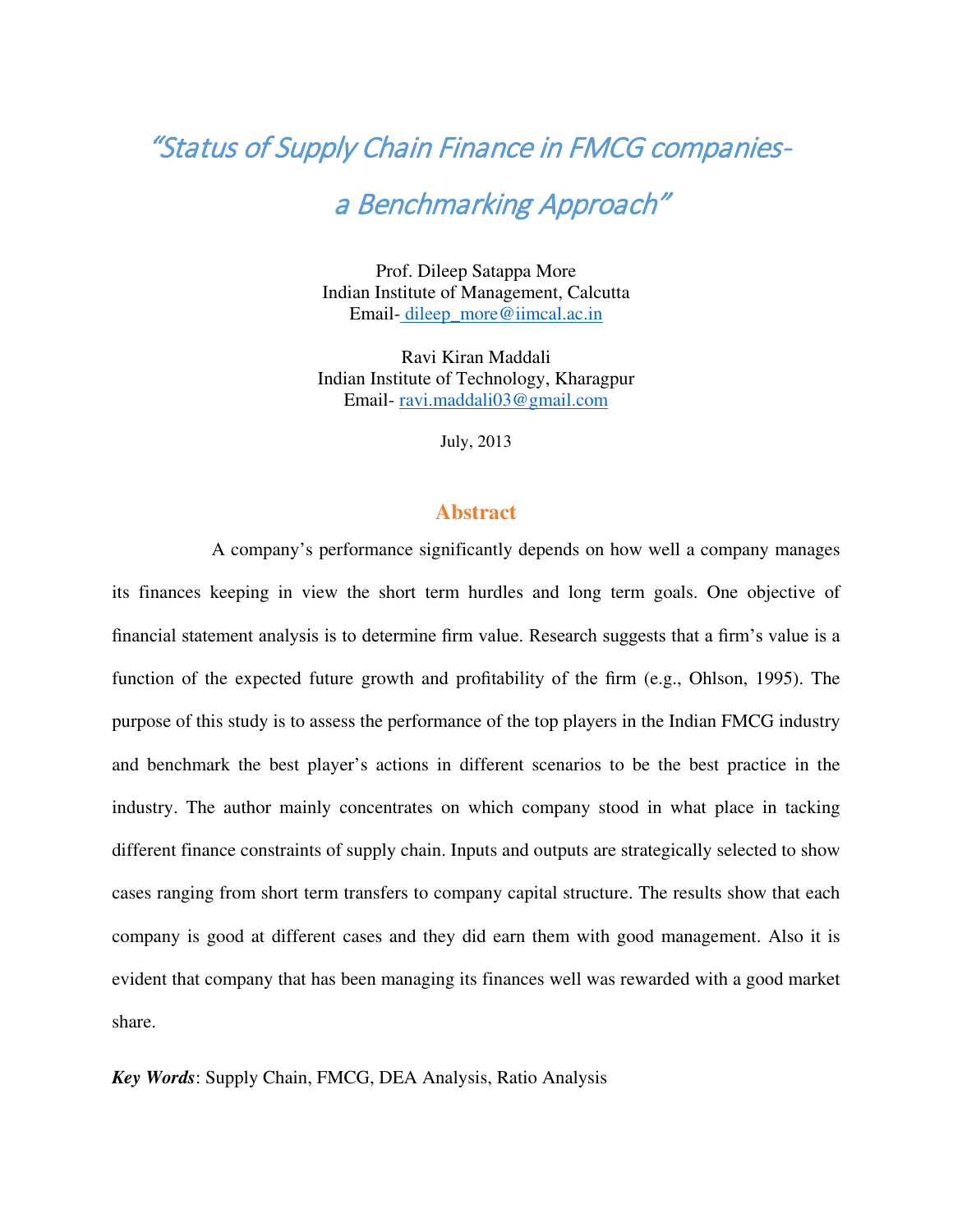## "Status of Supply Chain Finance in FMCG companies-

## a Benchmarking Approach"

Prof. Dileep Satappa More Indian Institute of Management, Calcutta Email- dileep\_more@iimcal.ac.in

Ravi Kiran Maddali Indian Institute of Technology, Kharagpur Email- ravi.maddali03@gmail.com

July, 2013

#### **Abstract**

A company's performance significantly depends on how well a company manages its finances keeping in view the short term hurdles and long term goals. One objective of financial statement analysis is to determine firm value. Research suggests that a firm's value is a function of the expected future growth and profitability of the firm (e.g., Ohlson, 1995). The purpose of this study is to assess the performance of the top players in the Indian FMCG industry and benchmark the best player's actions in different scenarios to be the best practice in the industry. The author mainly concentrates on which company stood in what place in tacking different finance constraints of supply chain. Inputs and outputs are strategically selected to show cases ranging from short term transfers to company capital structure. The results show that each company is good at different cases and they did earn them with good management. Also it is evident that company that has been managing its finances well was rewarded with a good market share.

*Key Words*: Supply Chain, FMCG, DEA Analysis, Ratio Analysis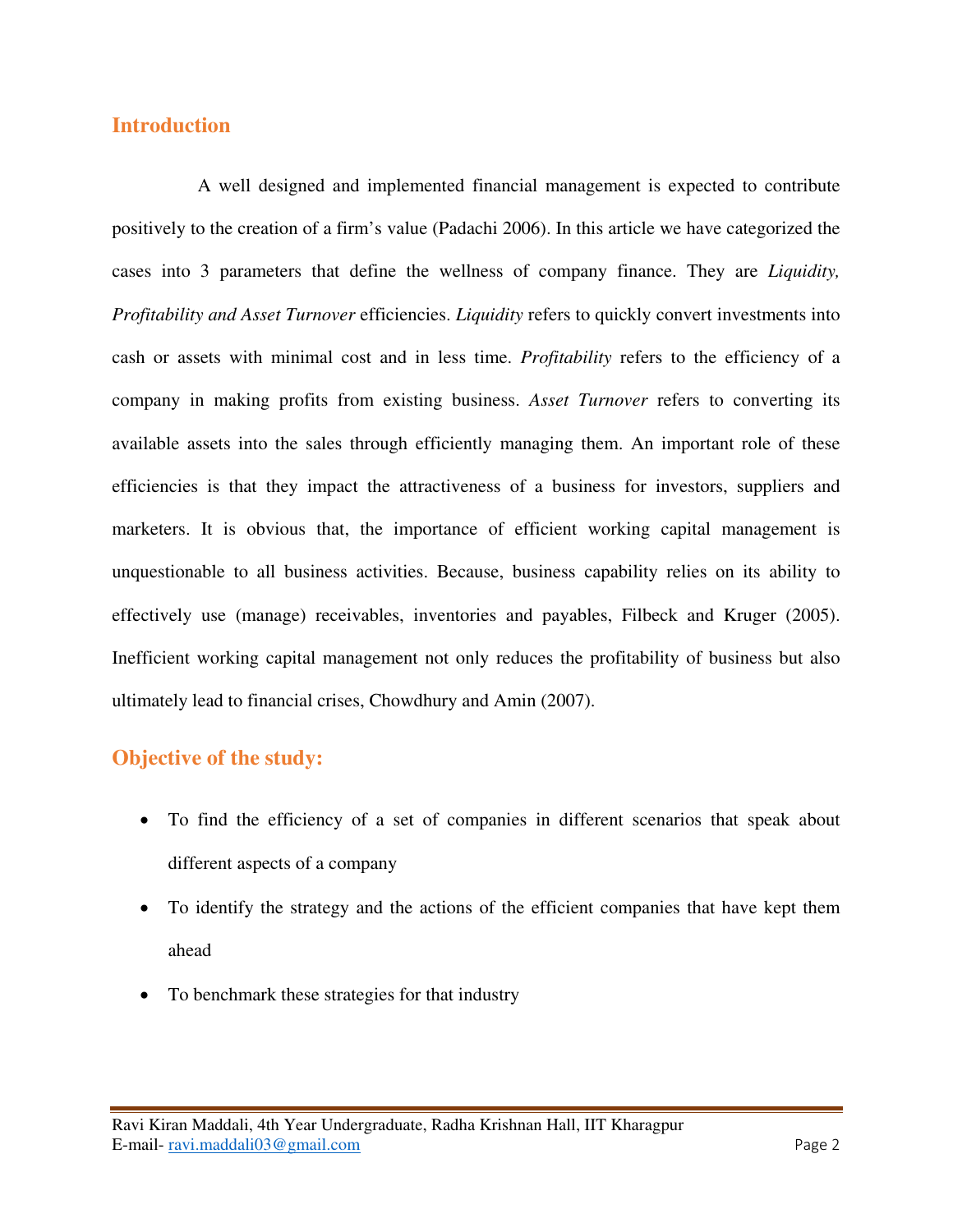## **Introduction**

 A well designed and implemented financial management is expected to contribute positively to the creation of a firm's value (Padachi 2006). In this article we have categorized the cases into 3 parameters that define the wellness of company finance. They are *Liquidity, Profitability and Asset Turnover* efficiencies. *Liquidity* refers to quickly convert investments into cash or assets with minimal cost and in less time. *Profitability* refers to the efficiency of a company in making profits from existing business. *Asset Turnover* refers to converting its available assets into the sales through efficiently managing them. An important role of these efficiencies is that they impact the attractiveness of a business for investors, suppliers and marketers. It is obvious that, the importance of efficient working capital management is unquestionable to all business activities. Because, business capability relies on its ability to effectively use (manage) receivables, inventories and payables, Filbeck and Kruger (2005). Inefficient working capital management not only reduces the profitability of business but also ultimately lead to financial crises, Chowdhury and Amin (2007).

## **Objective of the study:**

- To find the efficiency of a set of companies in different scenarios that speak about different aspects of a company
- To identify the strategy and the actions of the efficient companies that have kept them ahead
- To benchmark these strategies for that industry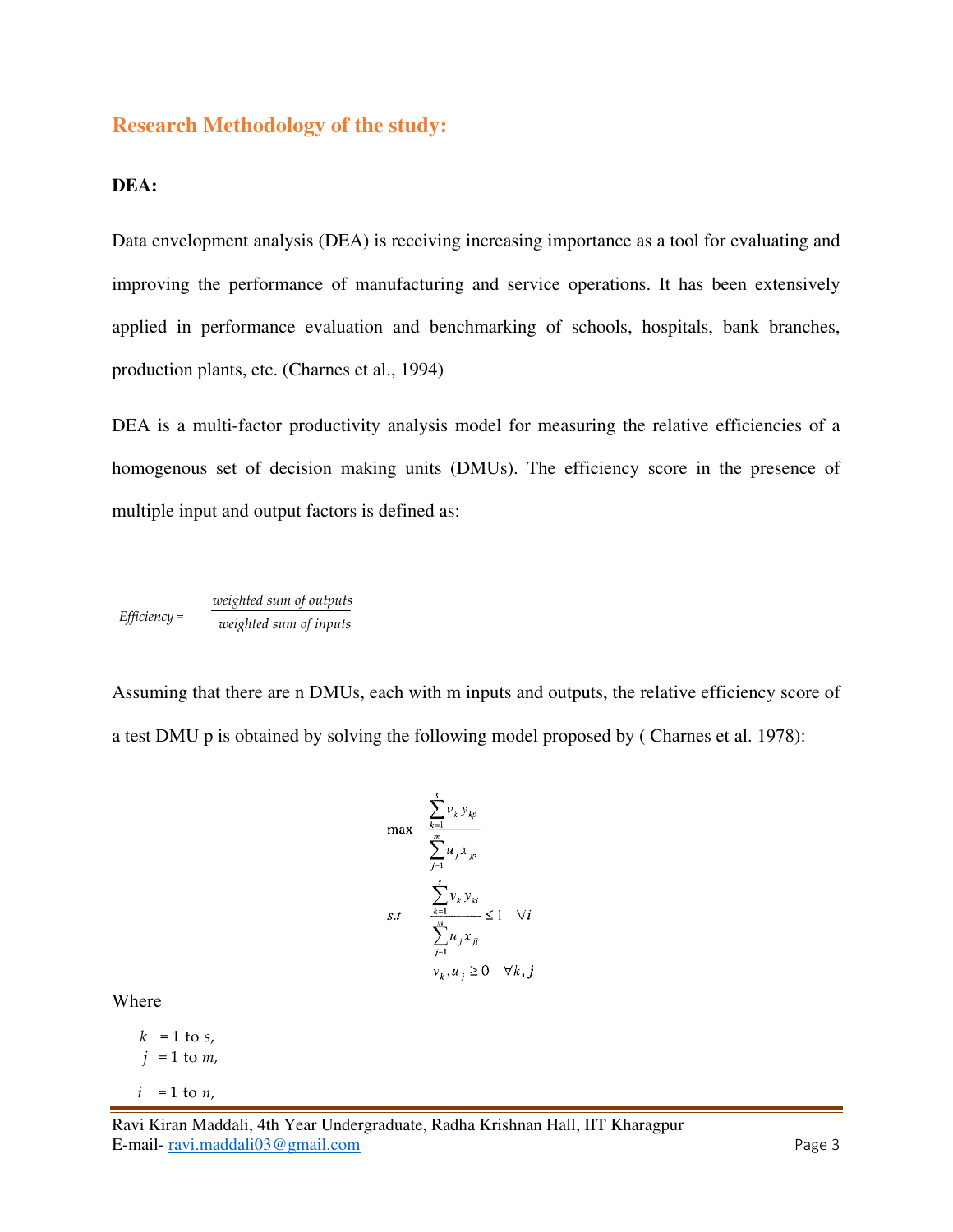## **Research Methodology of the study:**

#### **DEA:**

Data envelopment analysis (DEA) is receiving increasing importance as a tool for evaluating and improving the performance of manufacturing and service operations. It has been extensively applied in performance evaluation and benchmarking of schools, hospitals, bank branches, production plants, etc. (Charnes et al., 1994)

DEA is a multi-factor productivity analysis model for measuring the relative efficiencies of a homogenous set of decision making units (DMUs). The efficiency score in the presence of multiple input and output factors is defined as:

*<u>weighted sum of outputs</u>*<br>*Efficiency* = <u>*weighted sum of innuts*</u>  *Efficiency = weighted sum of inputs* 

Assuming that there are n DMUs, each with m inputs and outputs, the relative efficiency score of a test DMU p is obtained by solving the following model proposed by ( Charnes et al. 1978):

$$
\max \quad \frac{\sum_{k=1}^{s} v_k y_{kp}}{\sum_{j=1}^{m} u_j x_{jp}}
$$
\n
$$
s.t \quad \frac{\sum_{k=1}^{s} v_k y_{ki}}{\sum_{j=1}^{m} u_j x_{ji}} \le 1 \quad \forall i
$$
\n
$$
v_k, u_j \ge 0 \quad \forall k, j
$$

Where

 $k = 1$  to *s*,  $j = 1$  to  $m<sub>i</sub>$  $i = 1$  to  $n$ ,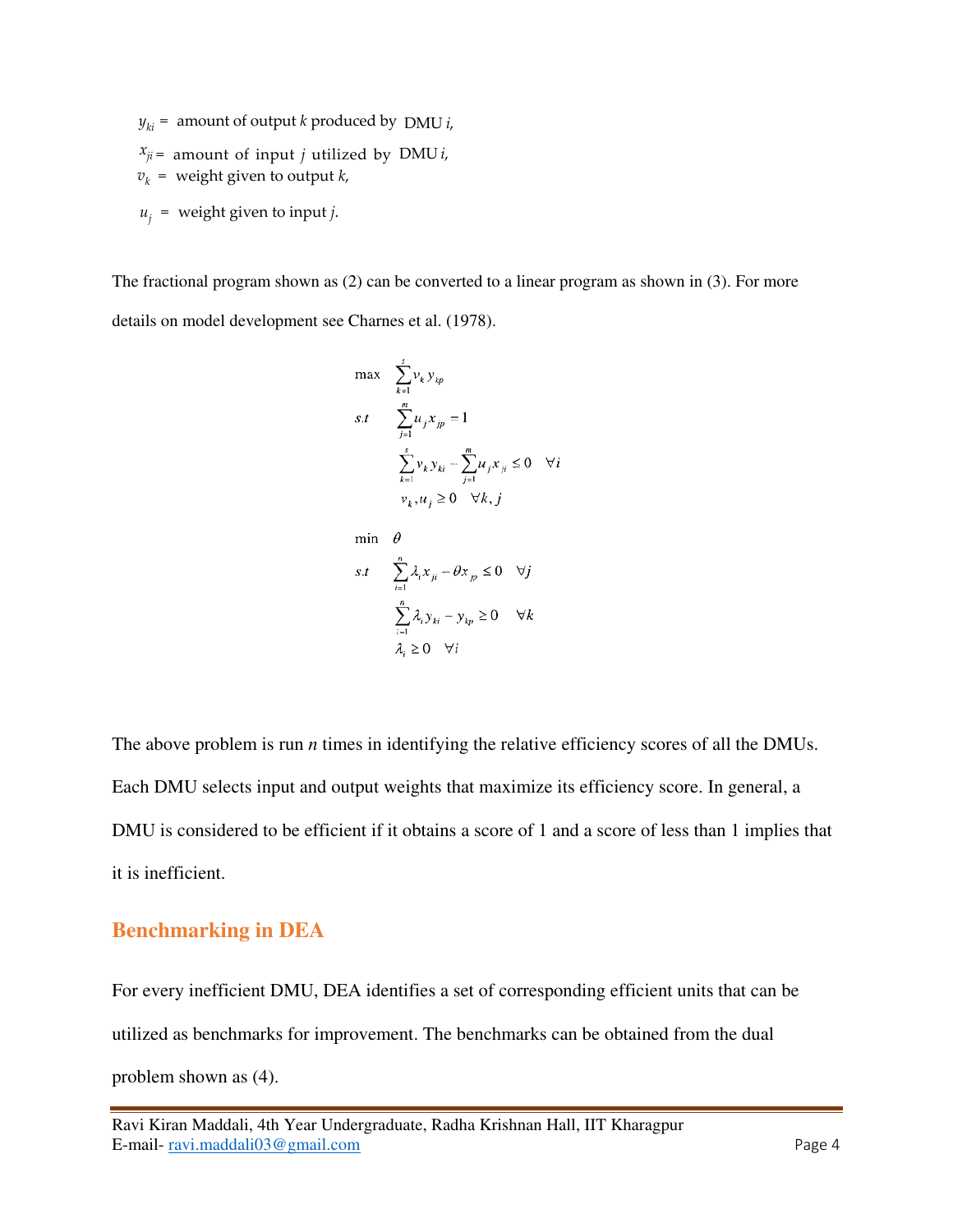$y_{ki}$  = amount of output *k* produced by DMU *i*,

- $x_{ji}$  = amount of input *j* utilized by DMU *i*,
- $v_k$  = weight given to output *k*,
- $u_i$  = weight given to input *j*.

The fractional program shown as (2) can be converted to a linear program as shown in (3). For more details on model development see Charnes et al. (1978).

$$
\max \sum_{k=1}^{5} v_k y_{kp}
$$
  
s.t 
$$
\sum_{j=1}^{m} u_j x_{jp} = 1
$$

$$
\sum_{k=1}^{s} v_k y_{ki} - \sum_{j=1}^{m} u_j x_{ji} \le 0 \quad \forall i
$$

$$
v_k, u_j \ge 0 \quad \forall k, j
$$

$$
\begin{aligned}\n\min \quad & \theta \\
s.t \quad & \sum_{i=1}^{n} \lambda_i x_{ji} - \theta x_{jp} \le 0 \quad \forall j \\
& \sum_{i=1}^{n} \lambda_i y_{ki} - y_{kp} \ge 0 \quad \forall k \\
& \lambda_i \ge 0 \quad \forall i\n\end{aligned}
$$

The above problem is run *n* times in identifying the relative efficiency scores of all the DMUs. Each DMU selects input and output weights that maximize its efficiency score. In general, a DMU is considered to be efficient if it obtains a score of 1 and a score of less than 1 implies that it is inefficient.

## **Benchmarking in DEA**

For every inefficient DMU, DEA identifies a set of corresponding efficient units that can be utilized as benchmarks for improvement. The benchmarks can be obtained from the dual problem shown as (4).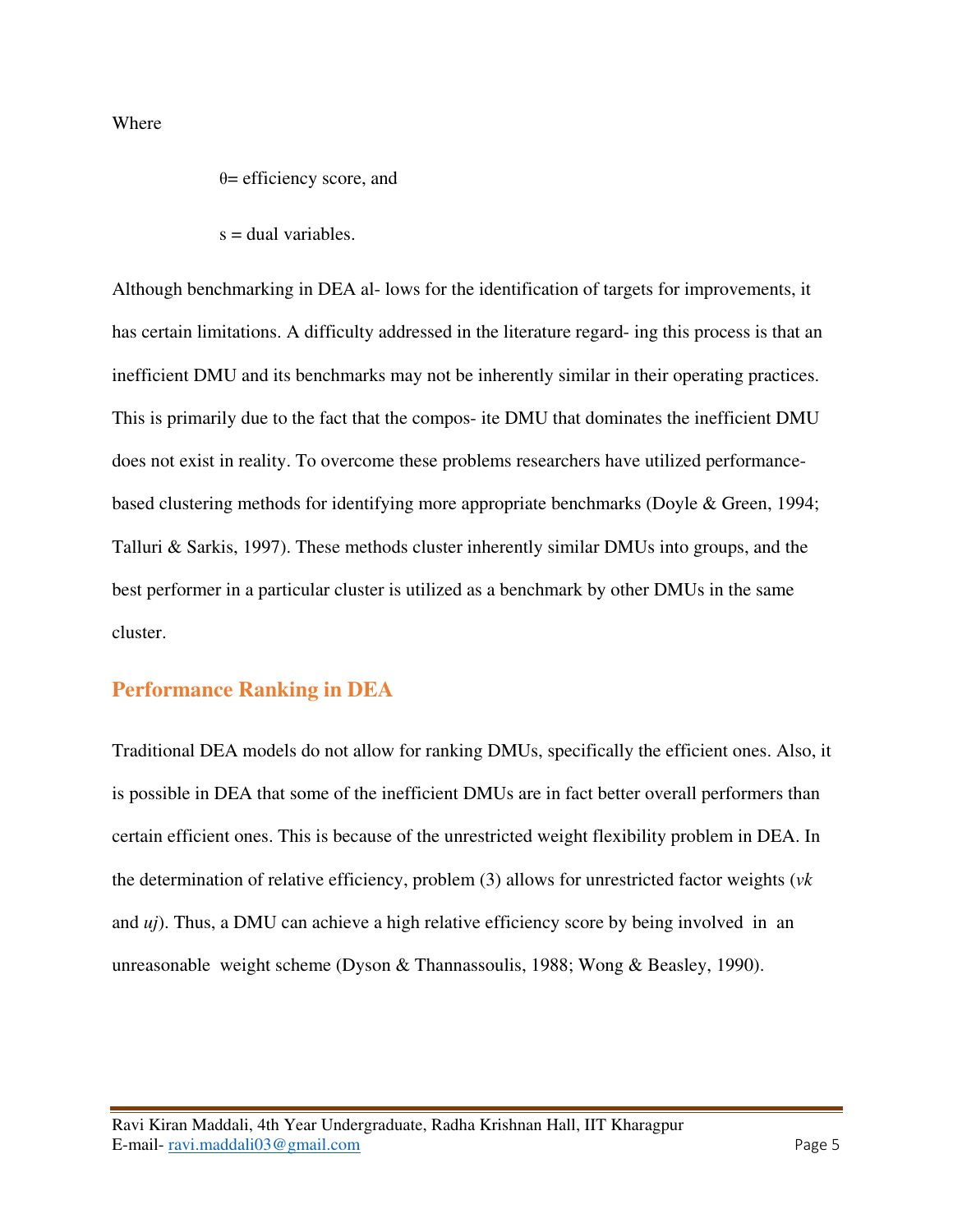Where

 $\theta$ = efficiency score, and

 $s =$  dual variables.

Although benchmarking in DEA al- lows for the identification of targets for improvements, it has certain limitations. A difficulty addressed in the literature regard- ing this process is that an inefficient DMU and its benchmarks may not be inherently similar in their operating practices. This is primarily due to the fact that the compos- ite DMU that dominates the inefficient DMU does not exist in reality. To overcome these problems researchers have utilized performancebased clustering methods for identifying more appropriate benchmarks (Doyle & Green, 1994; Talluri & Sarkis, 1997). These methods cluster inherently similar DMUs into groups, and the best performer in a particular cluster is utilized as a benchmark by other DMUs in the same cluster.

### **Performance Ranking in DEA**

Traditional DEA models do not allow for ranking DMUs, specifically the efficient ones. Also, it is possible in DEA that some of the inefficient DMUs are in fact better overall performers than certain efficient ones. This is because of the unrestricted weight flexibility problem in DEA. In the determination of relative efficiency, problem (3) allows for unrestricted factor weights (*vk*  and *uj*). Thus, a DMU can achieve a high relative efficiency score by being involved in an unreasonable weight scheme (Dyson & Thannassoulis, 1988; Wong & Beasley, 1990).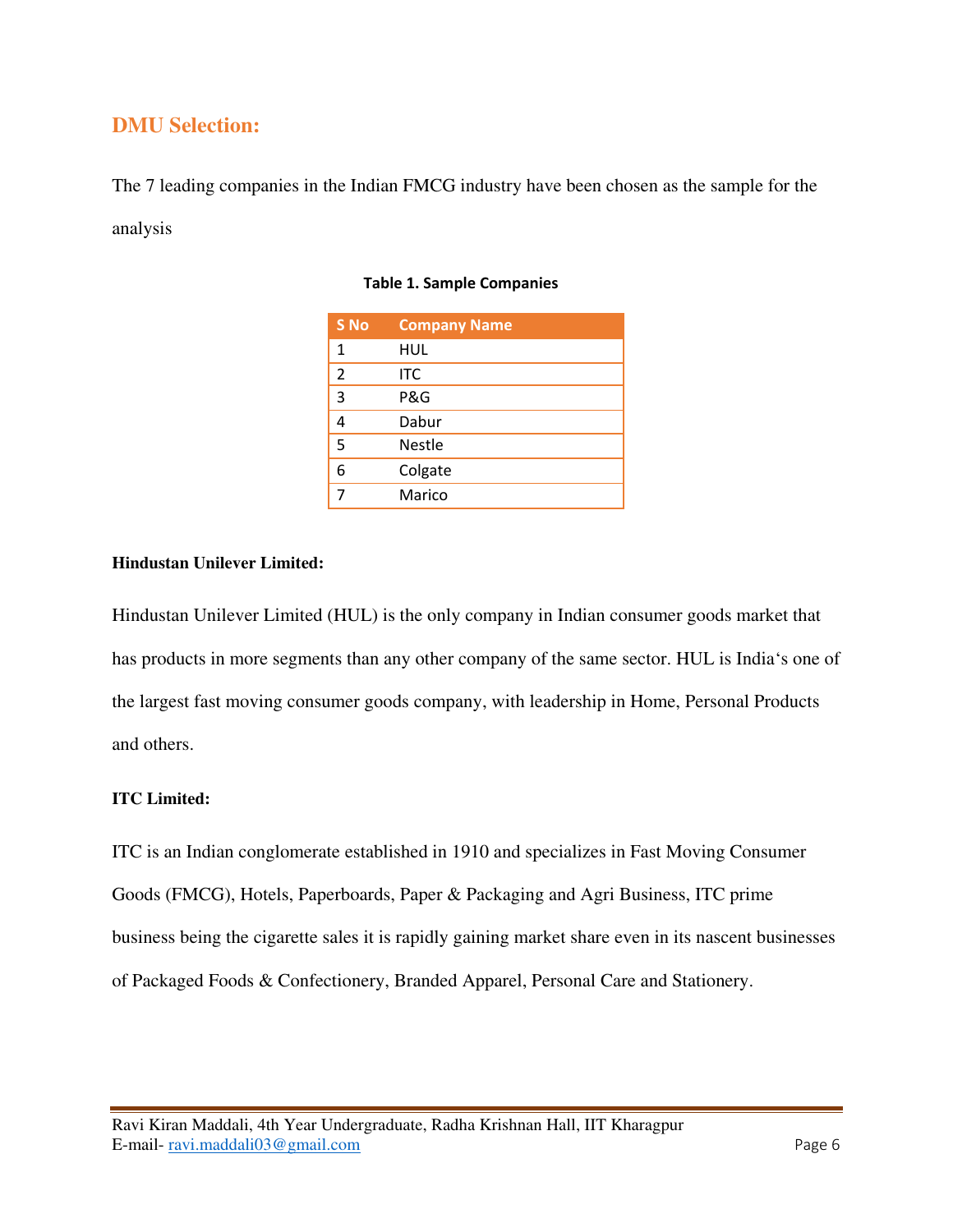## **DMU Selection:**

The 7 leading companies in the Indian FMCG industry have been chosen as the sample for the analysis

| S <sub>No</sub> | <b>Company Name</b> |
|-----------------|---------------------|
| 1               | HUL                 |
| $\overline{2}$  | <b>ITC</b>          |
| 3               | P&G                 |
|                 | Dabur               |
| 5               | <b>Nestle</b>       |
| 6               | Colgate             |
|                 | Marico              |

#### **Table 1. Sample Companies**

#### **Hindustan Unilever Limited:**

Hindustan Unilever Limited (HUL) is the only company in Indian consumer goods market that has products in more segments than any other company of the same sector. HUL is India's one of the largest fast moving consumer goods company, with leadership in Home, Personal Products and others.

#### **ITC Limited:**

ITC is an Indian conglomerate established in 1910 and specializes in Fast Moving Consumer Goods (FMCG), Hotels, Paperboards, Paper & Packaging and Agri Business, ITC prime business being the cigarette sales it is rapidly gaining market share even in its nascent businesses of Packaged Foods & Confectionery, Branded Apparel, Personal Care and Stationery.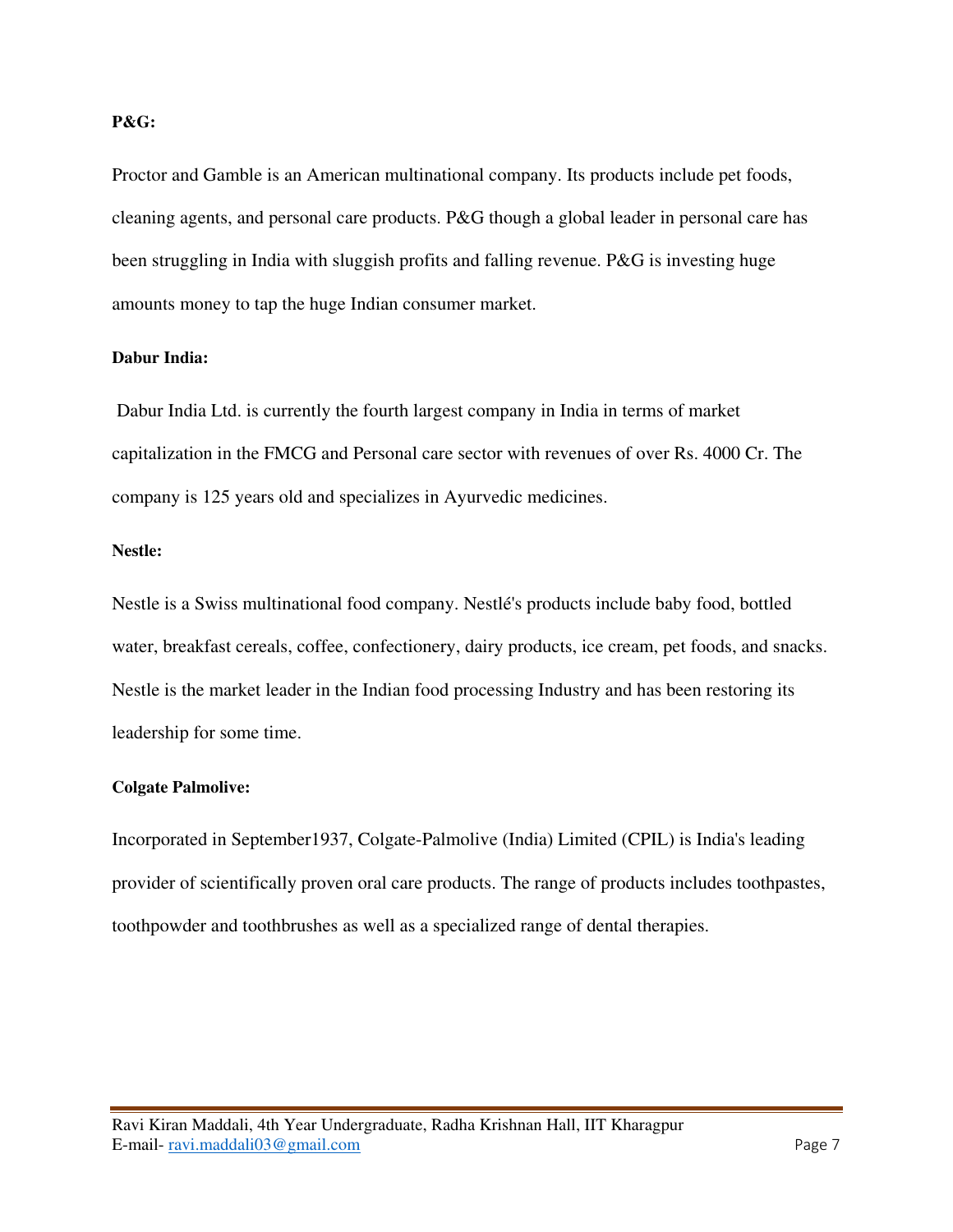#### **P&G:**

Proctor and Gamble is an American multinational company. Its products include pet foods, cleaning agents, and personal care products. P&G though a global leader in personal care has been struggling in India with sluggish profits and falling revenue. P&G is investing huge amounts money to tap the huge Indian consumer market.

#### **Dabur India:**

Dabur India Ltd. is currently the fourth largest company in India in terms of market capitalization in the FMCG and Personal care sector with revenues of over Rs. 4000 Cr. The company is 125 years old and specializes in Ayurvedic medicines.

#### **Nestle:**

Nestle is a Swiss multinational food company. Nestlé's products include baby food, bottled water, breakfast cereals, coffee, confectionery, dairy products, ice cream, pet foods, and snacks. Nestle is the market leader in the Indian food processing Industry and has been restoring its leadership for some time.

#### **Colgate Palmolive:**

Incorporated in September1937, Colgate-Palmolive (India) Limited (CPIL) is India's leading provider of scientifically proven oral care products. The range of products includes toothpastes, toothpowder and toothbrushes as well as a specialized range of dental therapies.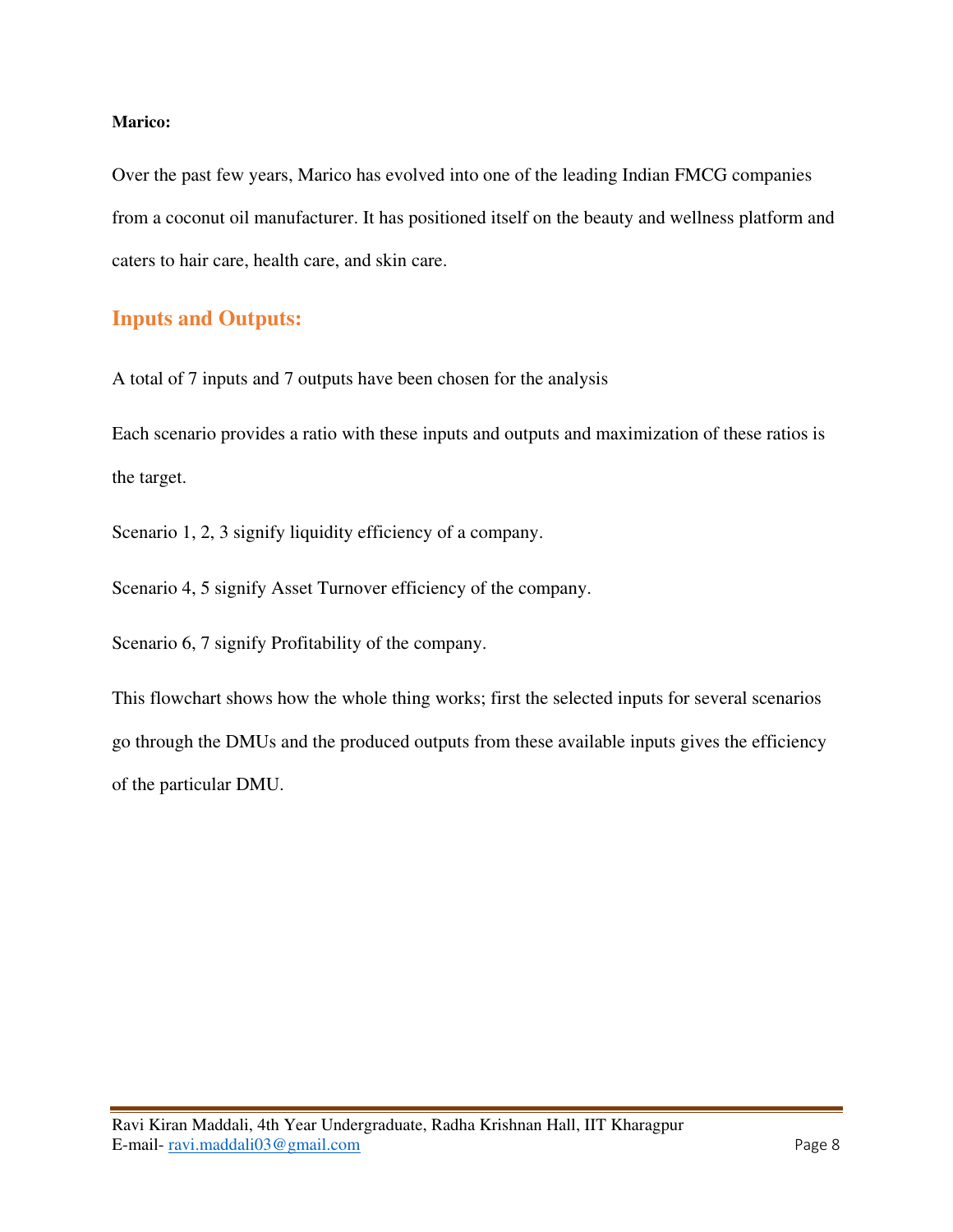#### **Marico:**

Over the past few years, Marico has evolved into one of the leading Indian FMCG companies from a coconut oil manufacturer. It has positioned itself on the beauty and wellness platform and caters to hair care, health care, and skin care.

## **Inputs and Outputs:**

A total of 7 inputs and 7 outputs have been chosen for the analysis

Each scenario provides a ratio with these inputs and outputs and maximization of these ratios is the target.

Scenario 1, 2, 3 signify liquidity efficiency of a company.

Scenario 4, 5 signify Asset Turnover efficiency of the company.

Scenario 6, 7 signify Profitability of the company.

This flowchart shows how the whole thing works; first the selected inputs for several scenarios go through the DMUs and the produced outputs from these available inputs gives the efficiency of the particular DMU.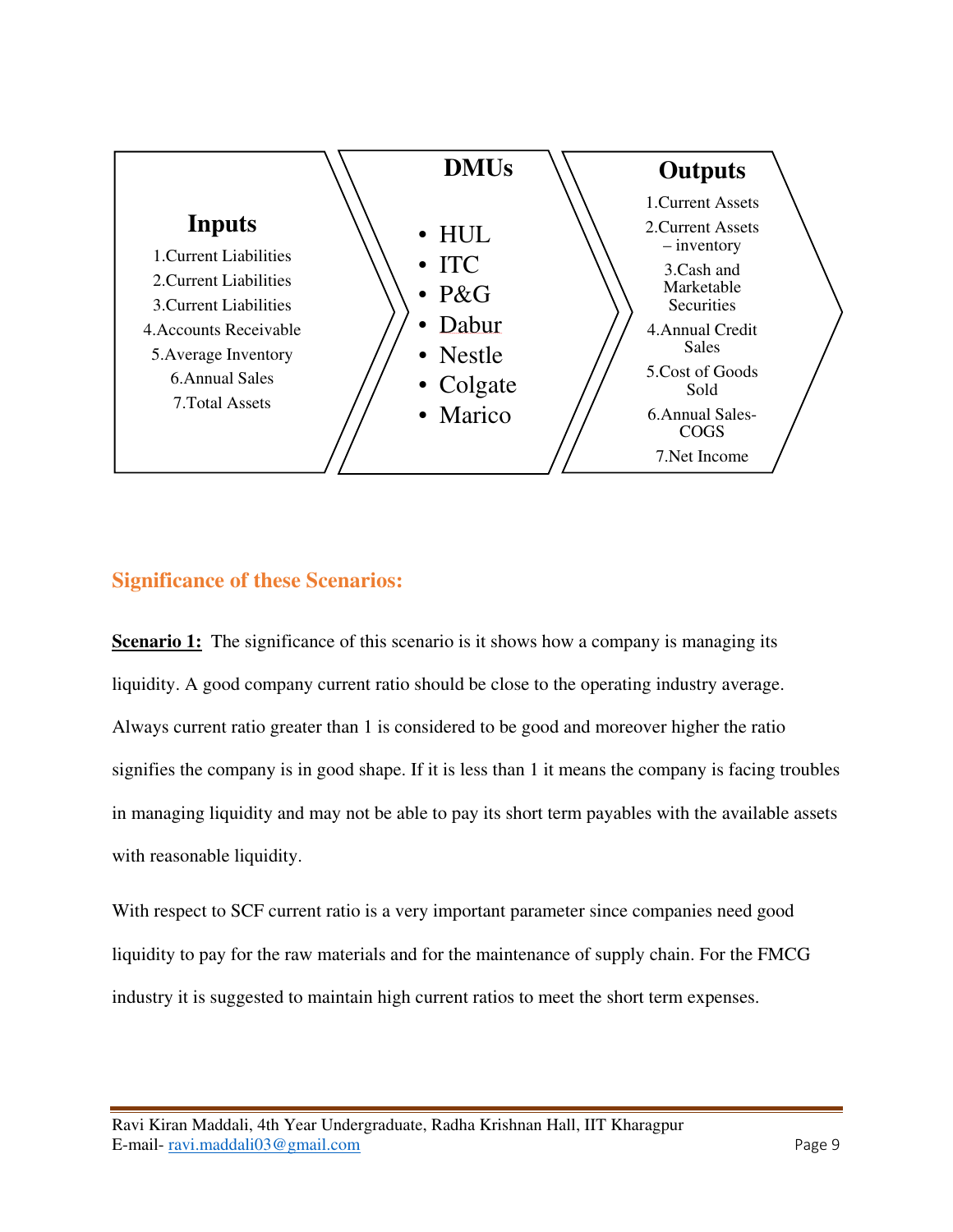

## **Significance of these Scenarios:**

**Scenario 1:** The significance of this scenario is it shows how a company is managing its liquidity. A good company current ratio should be close to the operating industry average. Always current ratio greater than 1 is considered to be good and moreover higher the ratio signifies the company is in good shape. If it is less than 1 it means the company is facing troubles in managing liquidity and may not be able to pay its short term payables with the available assets with reasonable liquidity.

With respect to SCF current ratio is a very important parameter since companies need good liquidity to pay for the raw materials and for the maintenance of supply chain. For the FMCG industry it is suggested to maintain high current ratios to meet the short term expenses.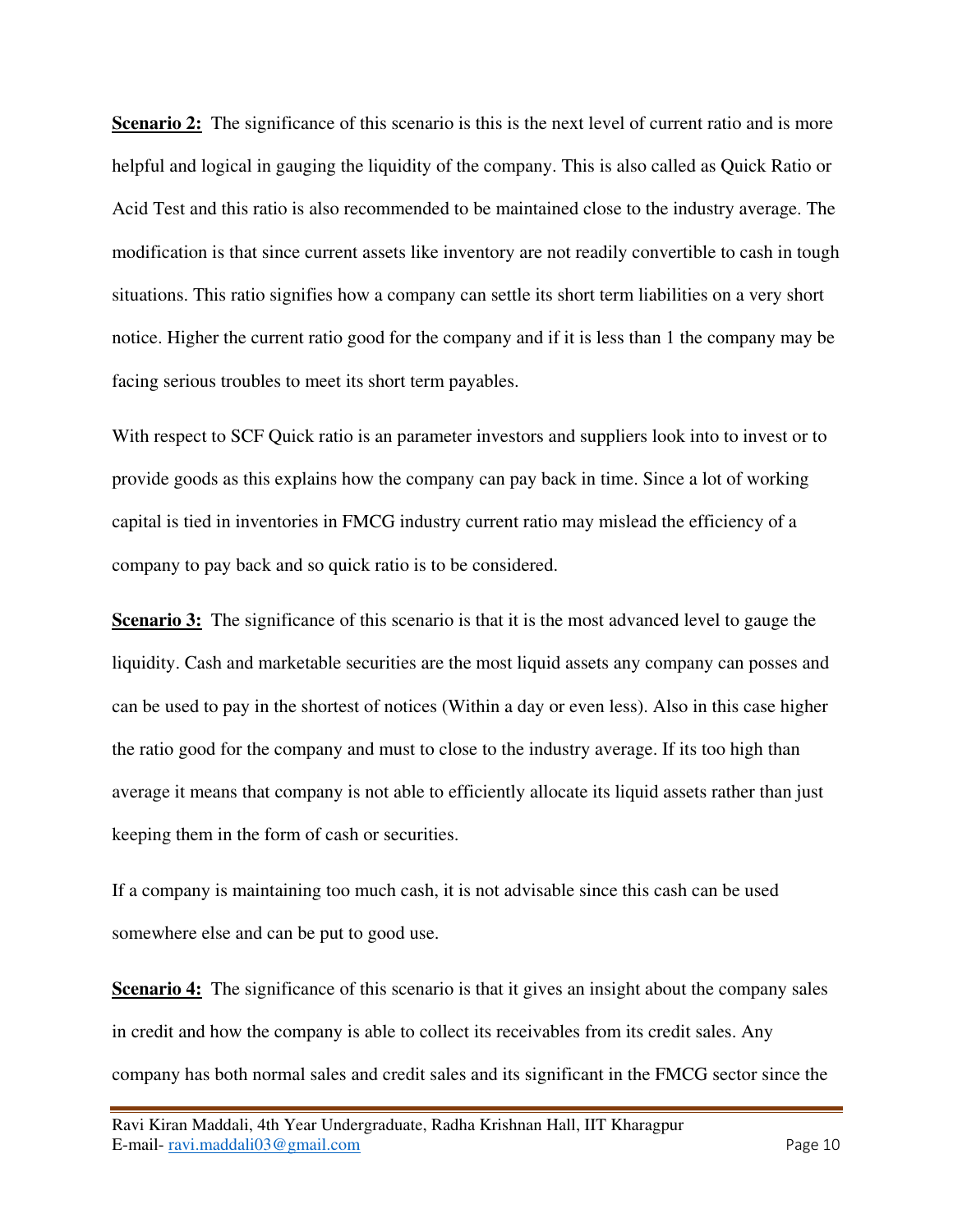**Scenario 2:** The significance of this scenario is this is the next level of current ratio and is more helpful and logical in gauging the liquidity of the company. This is also called as Quick Ratio or Acid Test and this ratio is also recommended to be maintained close to the industry average. The modification is that since current assets like inventory are not readily convertible to cash in tough situations. This ratio signifies how a company can settle its short term liabilities on a very short notice. Higher the current ratio good for the company and if it is less than 1 the company may be facing serious troubles to meet its short term payables.

With respect to SCF Quick ratio is an parameter investors and suppliers look into to invest or to provide goods as this explains how the company can pay back in time. Since a lot of working capital is tied in inventories in FMCG industry current ratio may mislead the efficiency of a company to pay back and so quick ratio is to be considered.

**Scenario 3:** The significance of this scenario is that it is the most advanced level to gauge the liquidity. Cash and marketable securities are the most liquid assets any company can posses and can be used to pay in the shortest of notices (Within a day or even less). Also in this case higher the ratio good for the company and must to close to the industry average. If its too high than average it means that company is not able to efficiently allocate its liquid assets rather than just keeping them in the form of cash or securities.

If a company is maintaining too much cash, it is not advisable since this cash can be used somewhere else and can be put to good use.

**Scenario 4:** The significance of this scenario is that it gives an insight about the company sales in credit and how the company is able to collect its receivables from its credit sales. Any company has both normal sales and credit sales and its significant in the FMCG sector since the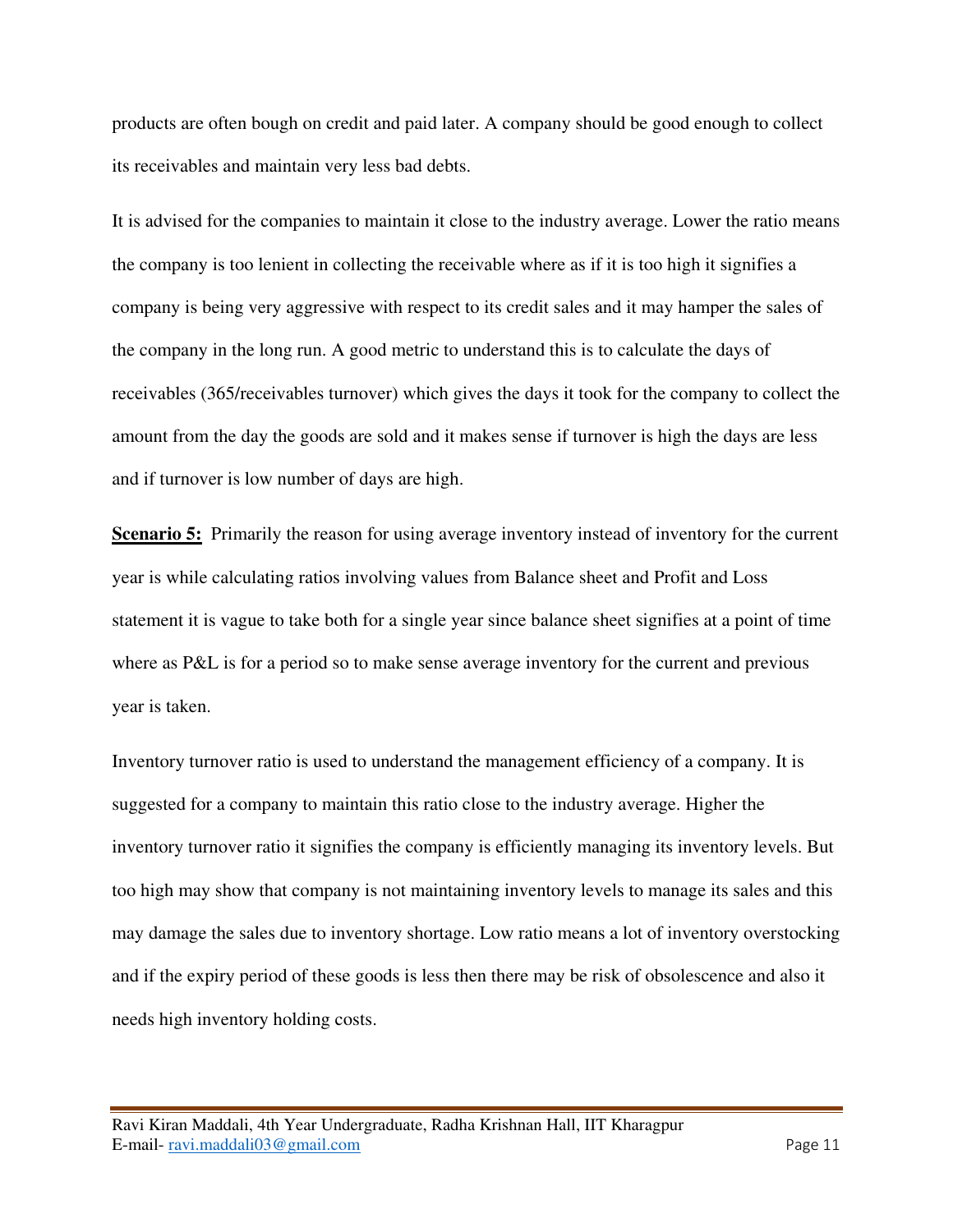products are often bough on credit and paid later. A company should be good enough to collect its receivables and maintain very less bad debts.

It is advised for the companies to maintain it close to the industry average. Lower the ratio means the company is too lenient in collecting the receivable where as if it is too high it signifies a company is being very aggressive with respect to its credit sales and it may hamper the sales of the company in the long run. A good metric to understand this is to calculate the days of receivables (365/receivables turnover) which gives the days it took for the company to collect the amount from the day the goods are sold and it makes sense if turnover is high the days are less and if turnover is low number of days are high.

**Scenario 5:** Primarily the reason for using average inventory instead of inventory for the current year is while calculating ratios involving values from Balance sheet and Profit and Loss statement it is vague to take both for a single year since balance sheet signifies at a point of time where as P&L is for a period so to make sense average inventory for the current and previous year is taken.

Inventory turnover ratio is used to understand the management efficiency of a company. It is suggested for a company to maintain this ratio close to the industry average. Higher the inventory turnover ratio it signifies the company is efficiently managing its inventory levels. But too high may show that company is not maintaining inventory levels to manage its sales and this may damage the sales due to inventory shortage. Low ratio means a lot of inventory overstocking and if the expiry period of these goods is less then there may be risk of obsolescence and also it needs high inventory holding costs.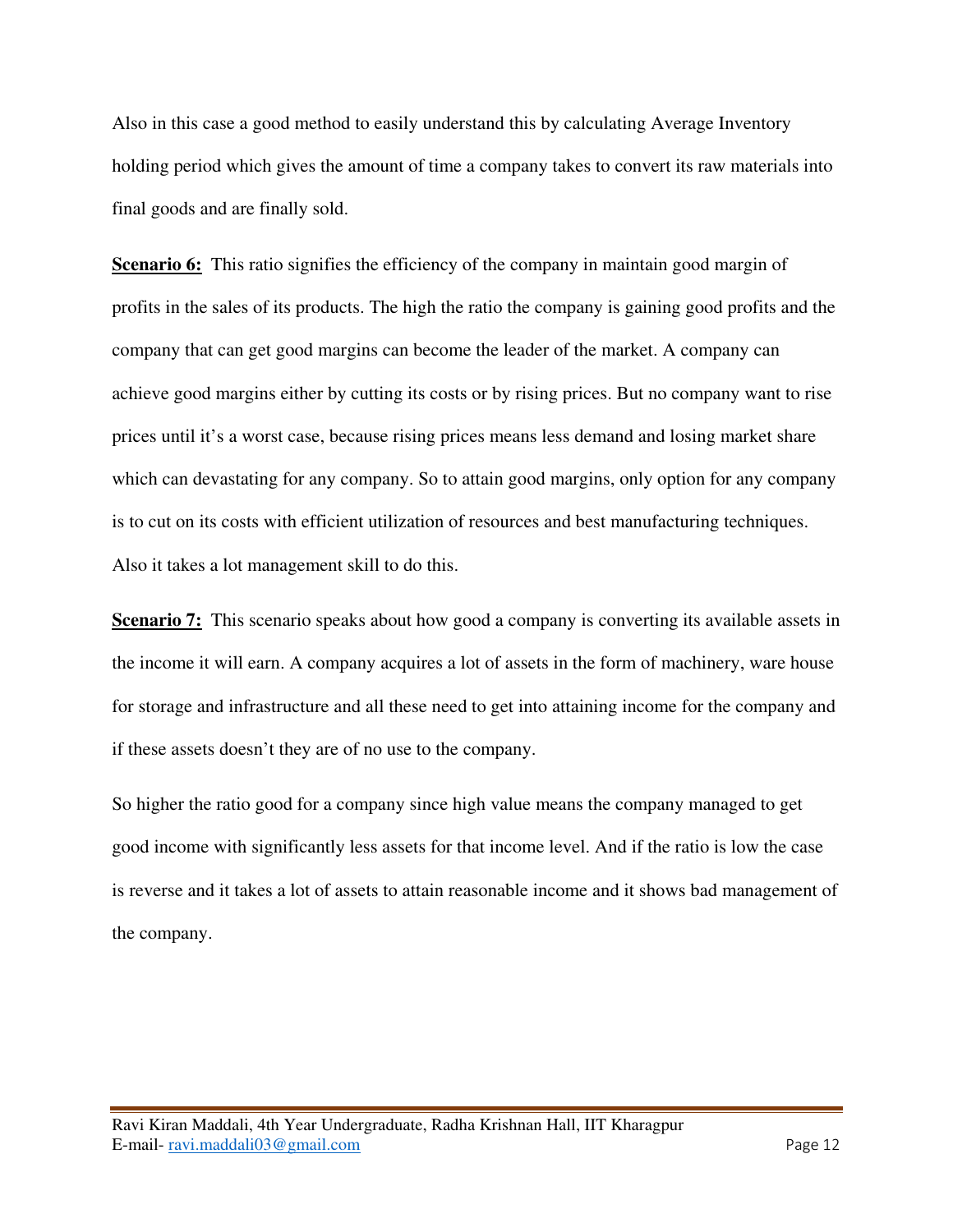Also in this case a good method to easily understand this by calculating Average Inventory holding period which gives the amount of time a company takes to convert its raw materials into final goods and are finally sold.

**Scenario 6:** This ratio signifies the efficiency of the company in maintain good margin of profits in the sales of its products. The high the ratio the company is gaining good profits and the company that can get good margins can become the leader of the market. A company can achieve good margins either by cutting its costs or by rising prices. But no company want to rise prices until it's a worst case, because rising prices means less demand and losing market share which can devastating for any company. So to attain good margins, only option for any company is to cut on its costs with efficient utilization of resources and best manufacturing techniques. Also it takes a lot management skill to do this.

**Scenario 7:** This scenario speaks about how good a company is converting its available assets in the income it will earn. A company acquires a lot of assets in the form of machinery, ware house for storage and infrastructure and all these need to get into attaining income for the company and if these assets doesn't they are of no use to the company.

So higher the ratio good for a company since high value means the company managed to get good income with significantly less assets for that income level. And if the ratio is low the case is reverse and it takes a lot of assets to attain reasonable income and it shows bad management of the company.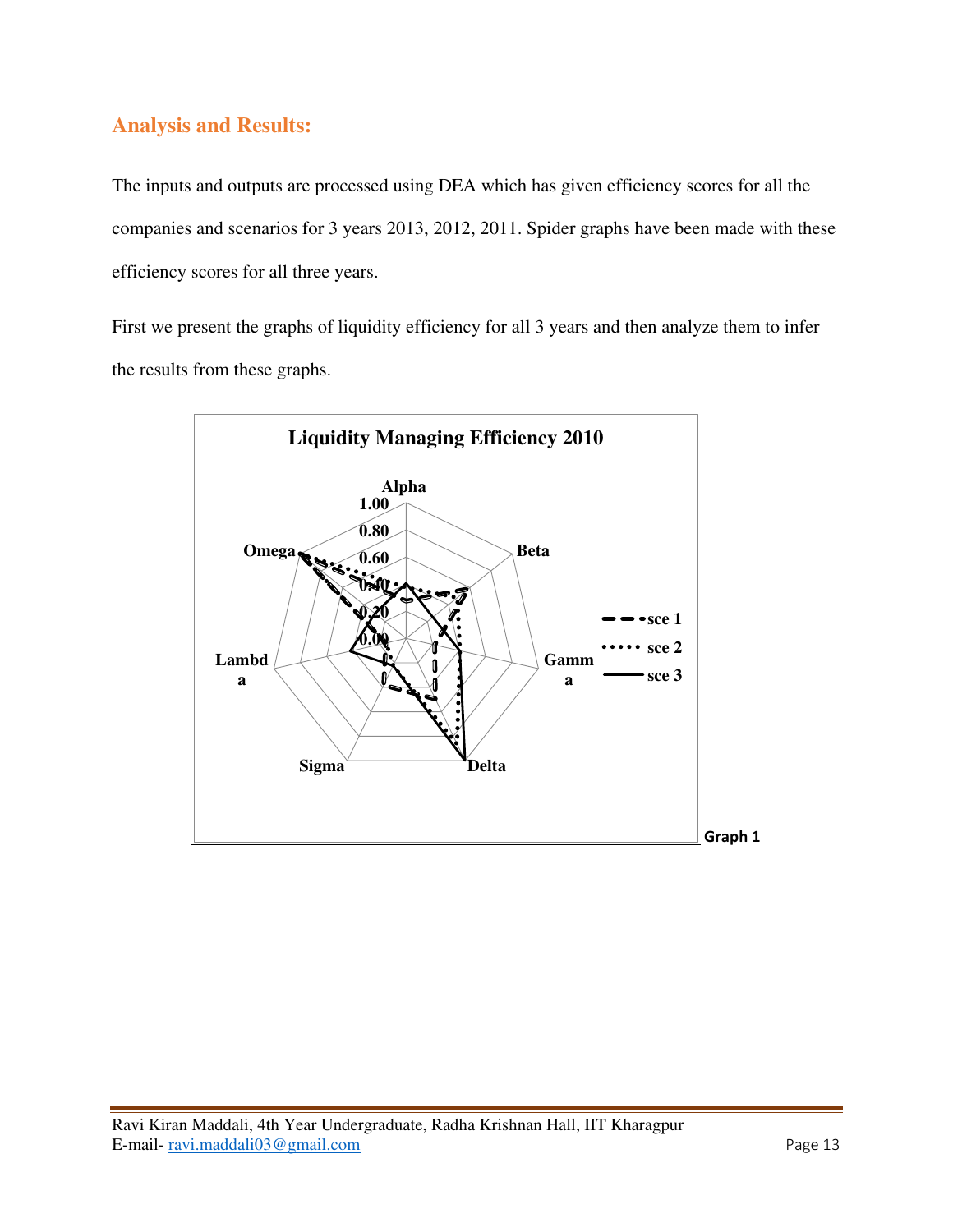## **Analysis and Results:**

The inputs and outputs are processed using DEA which has given efficiency scores for all the companies and scenarios for 3 years 2013, 2012, 2011. Spider graphs have been made with these efficiency scores for all three years.

First we present the graphs of liquidity efficiency for all 3 years and then analyze them to infer the results from these graphs.

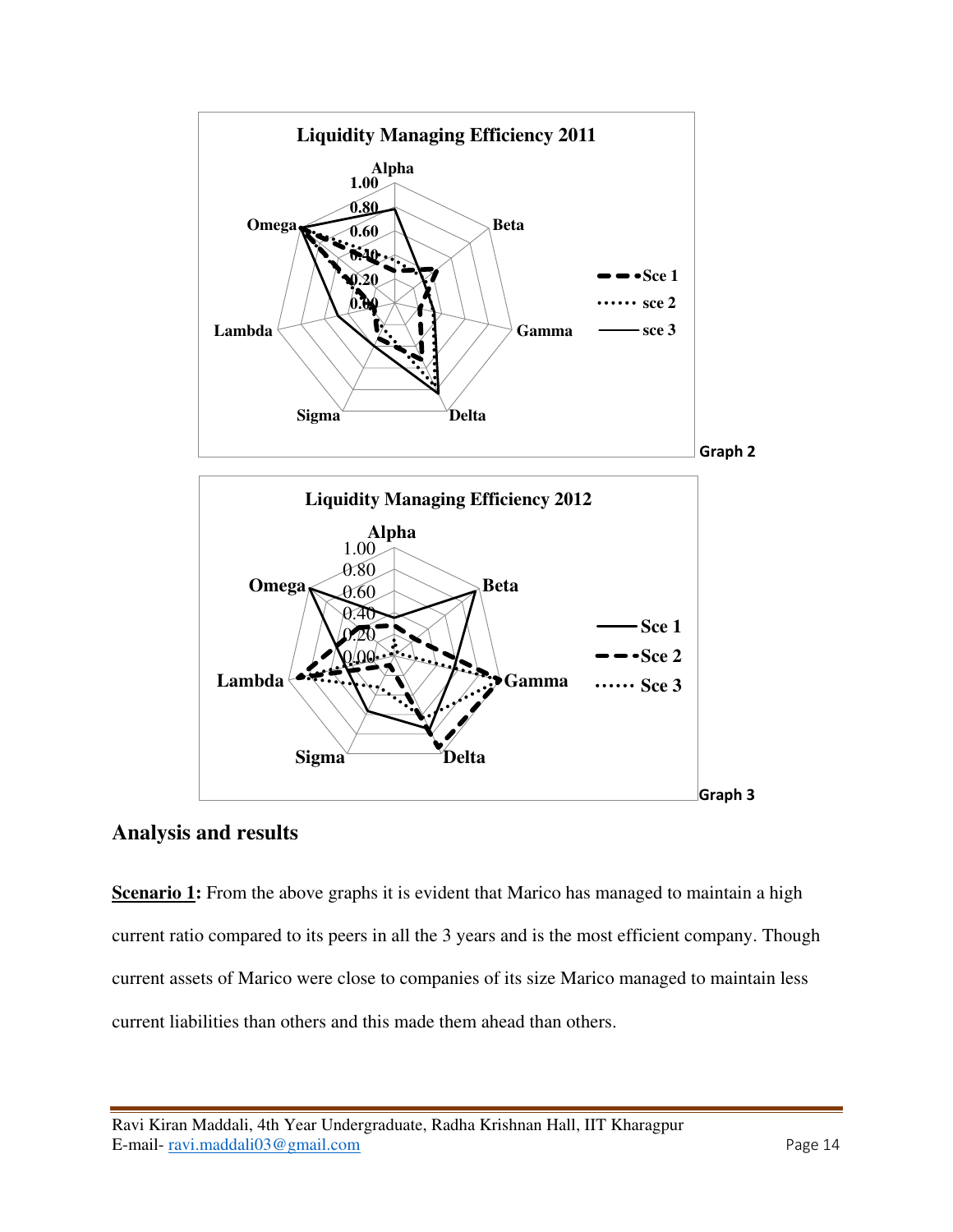

## **Analysis and results**

**Scenario 1:** From the above graphs it is evident that Marico has managed to maintain a high current ratio compared to its peers in all the 3 years and is the most efficient company. Though current assets of Marico were close to companies of its size Marico managed to maintain less current liabilities than others and this made them ahead than others.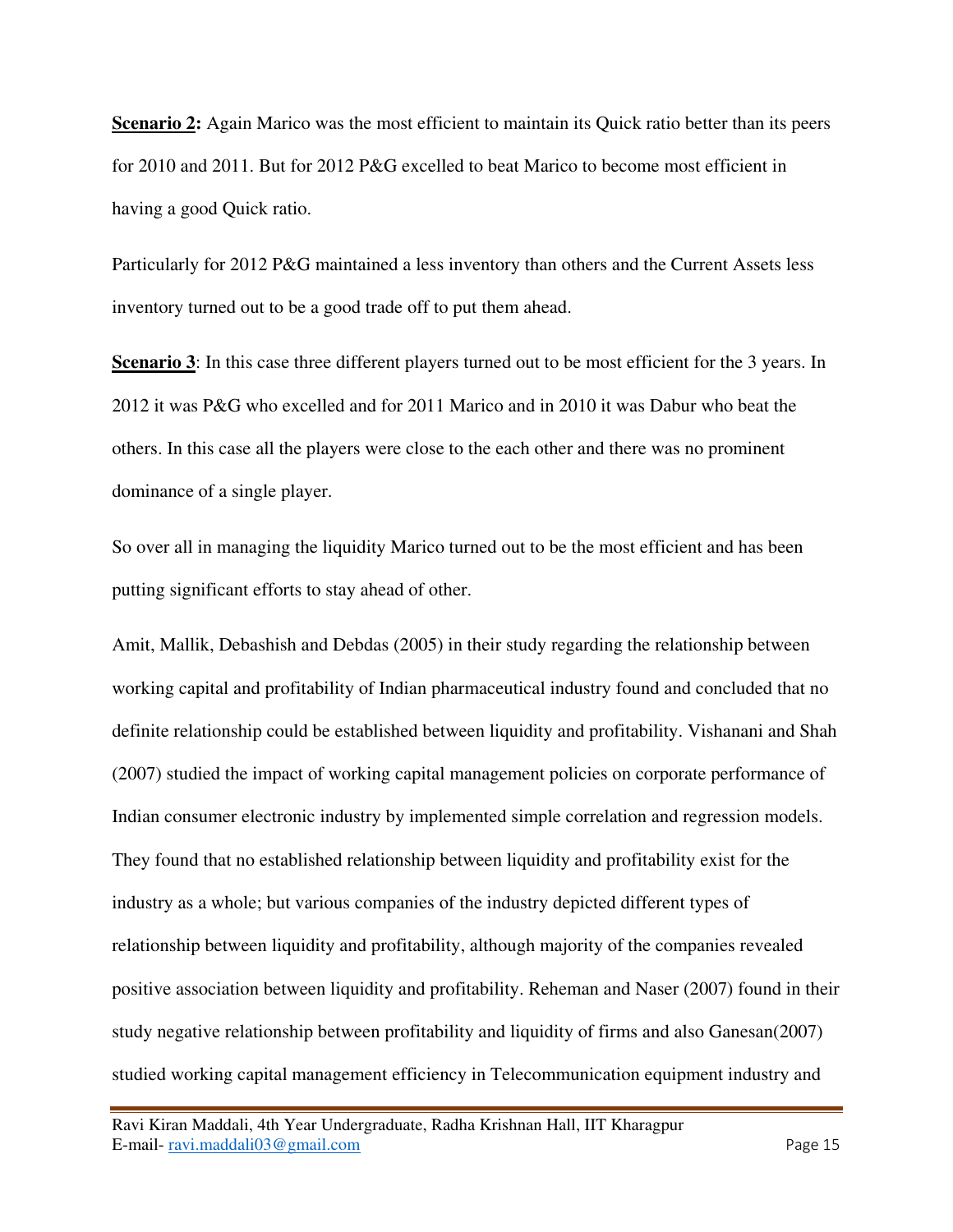**Scenario 2:** Again Marico was the most efficient to maintain its Quick ratio better than its peers for 2010 and 2011. But for 2012 P&G excelled to beat Marico to become most efficient in having a good Quick ratio.

Particularly for 2012 P&G maintained a less inventory than others and the Current Assets less inventory turned out to be a good trade off to put them ahead.

**Scenario 3**: In this case three different players turned out to be most efficient for the 3 years. In 2012 it was P&G who excelled and for 2011 Marico and in 2010 it was Dabur who beat the others. In this case all the players were close to the each other and there was no prominent dominance of a single player.

So over all in managing the liquidity Marico turned out to be the most efficient and has been putting significant efforts to stay ahead of other.

Amit, Mallik, Debashish and Debdas (2005) in their study regarding the relationship between working capital and profitability of Indian pharmaceutical industry found and concluded that no definite relationship could be established between liquidity and profitability. Vishanani and Shah (2007) studied the impact of working capital management policies on corporate performance of Indian consumer electronic industry by implemented simple correlation and regression models. They found that no established relationship between liquidity and profitability exist for the industry as a whole; but various companies of the industry depicted different types of relationship between liquidity and profitability, although majority of the companies revealed positive association between liquidity and profitability. Reheman and Naser (2007) found in their study negative relationship between profitability and liquidity of firms and also Ganesan(2007) studied working capital management efficiency in Telecommunication equipment industry and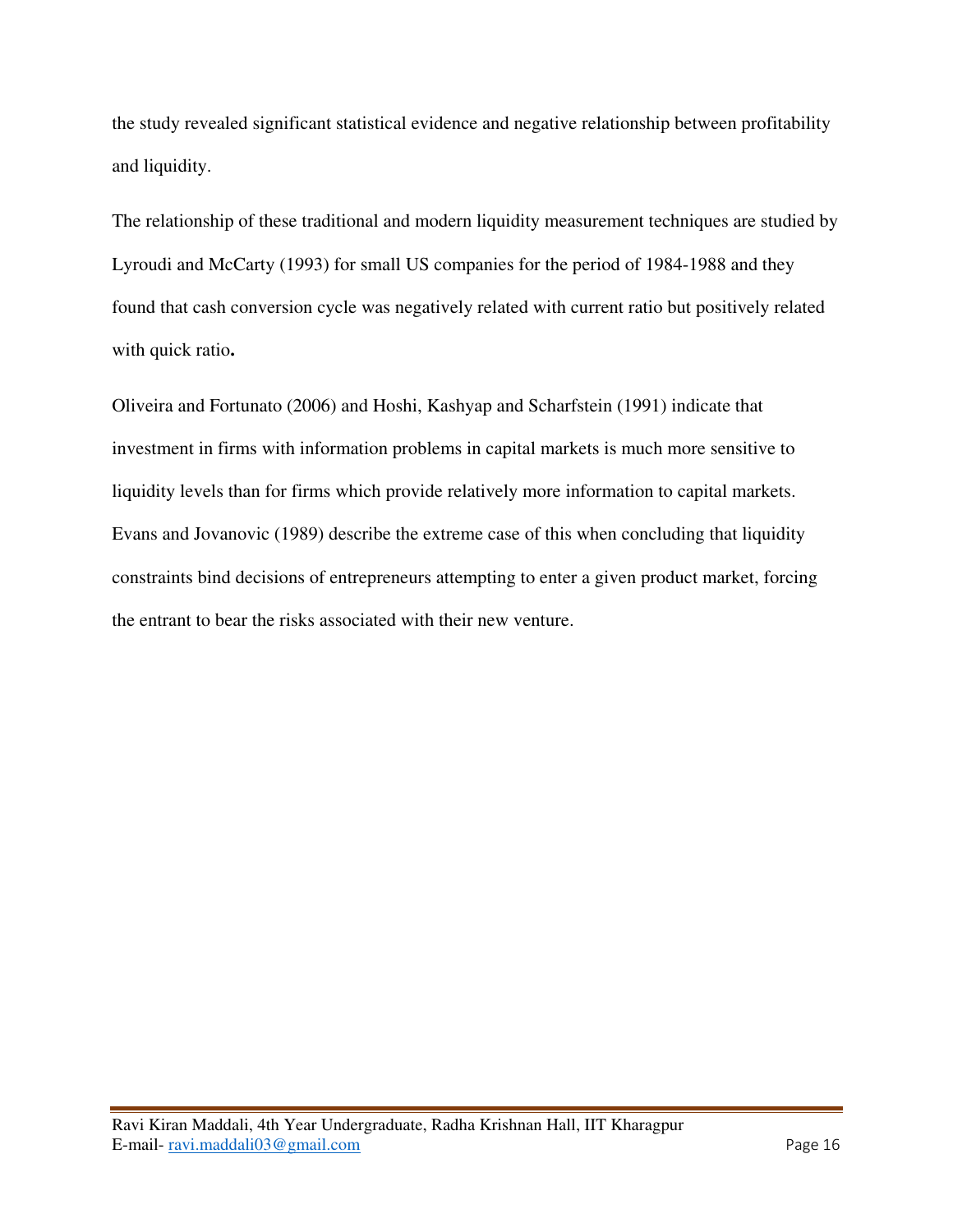the study revealed significant statistical evidence and negative relationship between profitability and liquidity.

The relationship of these traditional and modern liquidity measurement techniques are studied by Lyroudi and McCarty (1993) for small US companies for the period of 1984-1988 and they found that cash conversion cycle was negatively related with current ratio but positively related with quick ratio**.** 

Oliveira and Fortunato (2006) and Hoshi, Kashyap and Scharfstein (1991) indicate that investment in firms with information problems in capital markets is much more sensitive to liquidity levels than for firms which provide relatively more information to capital markets. Evans and Jovanovic (1989) describe the extreme case of this when concluding that liquidity constraints bind decisions of entrepreneurs attempting to enter a given product market, forcing the entrant to bear the risks associated with their new venture.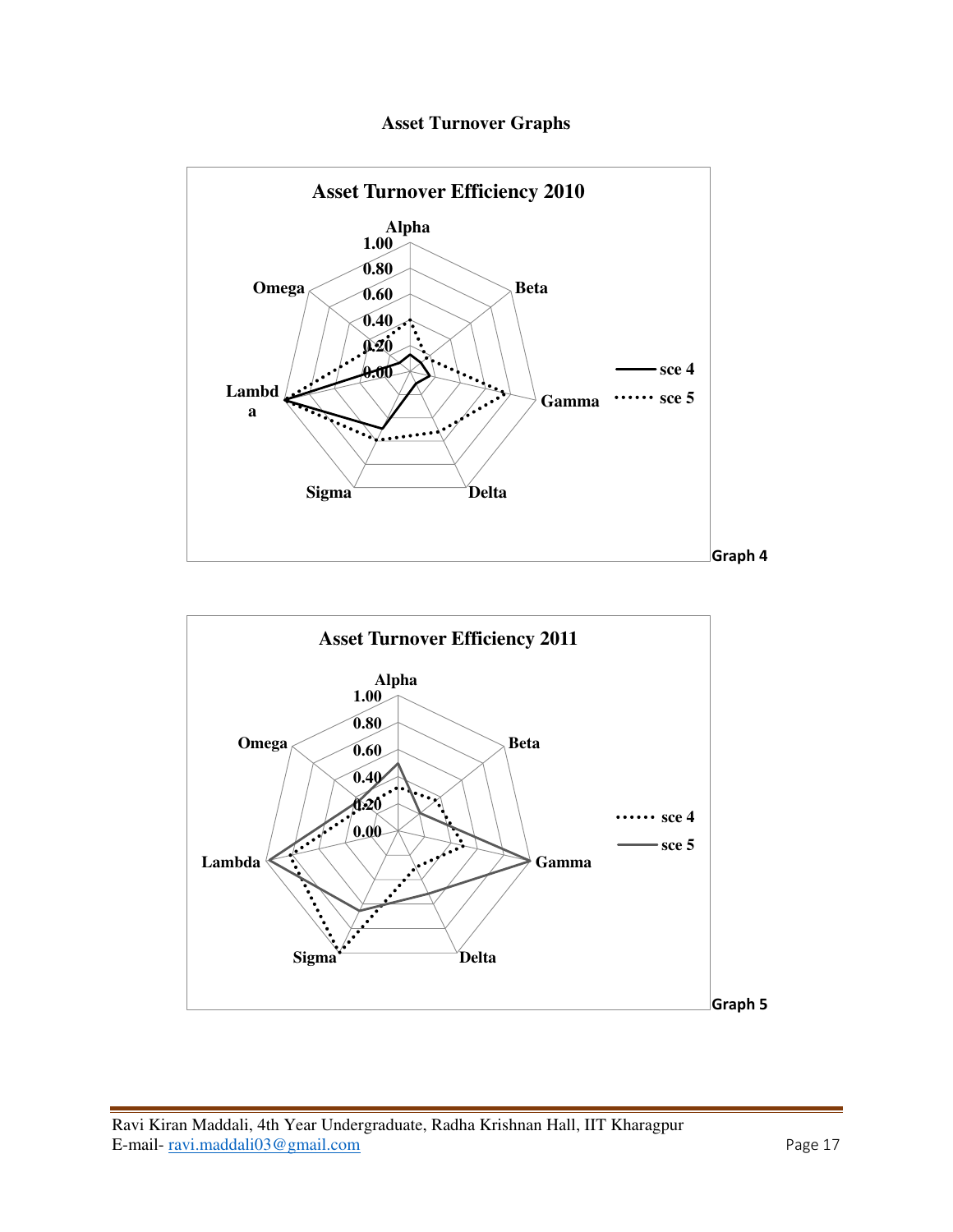## **Asset Turnover Graphs**



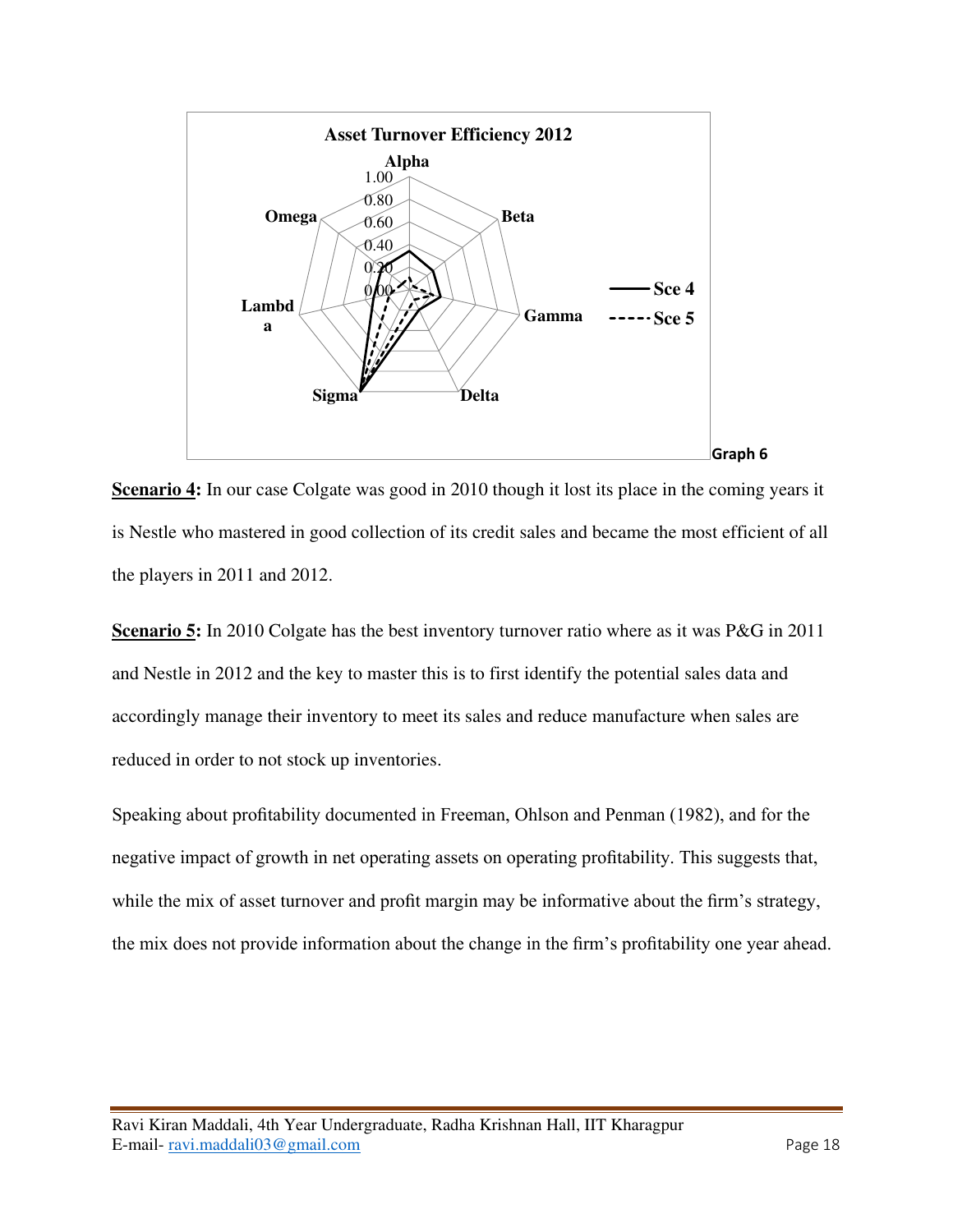

**Scenario 4:** In our case Colgate was good in 2010 though it lost its place in the coming years it is Nestle who mastered in good collection of its credit sales and became the most efficient of all the players in 2011 and 2012.

**Scenario 5:** In 2010 Colgate has the best inventory turnover ratio where as it was P&G in 2011 and Nestle in 2012 and the key to master this is to first identify the potential sales data and accordingly manage their inventory to meet its sales and reduce manufacture when sales are reduced in order to not stock up inventories.

Speaking about profitability documented in Freeman, Ohlson and Penman (1982), and for the negative impact of growth in net operating assets on operating profitability. This suggests that, while the mix of asset turnover and profit margin may be informative about the firm's strategy, the mix does not provide information about the change in the firm's profitability one year ahead.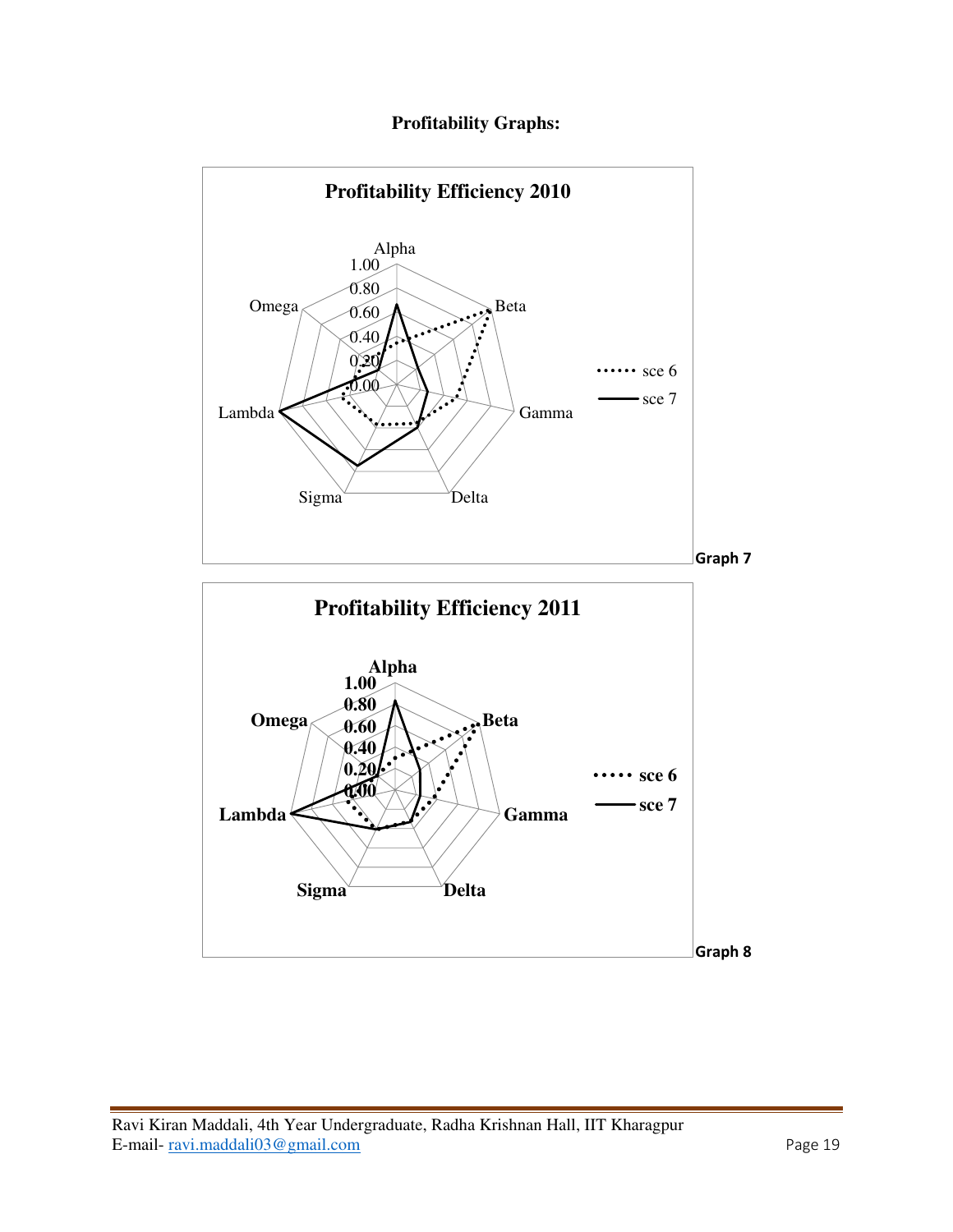## **Profitability Graphs:**

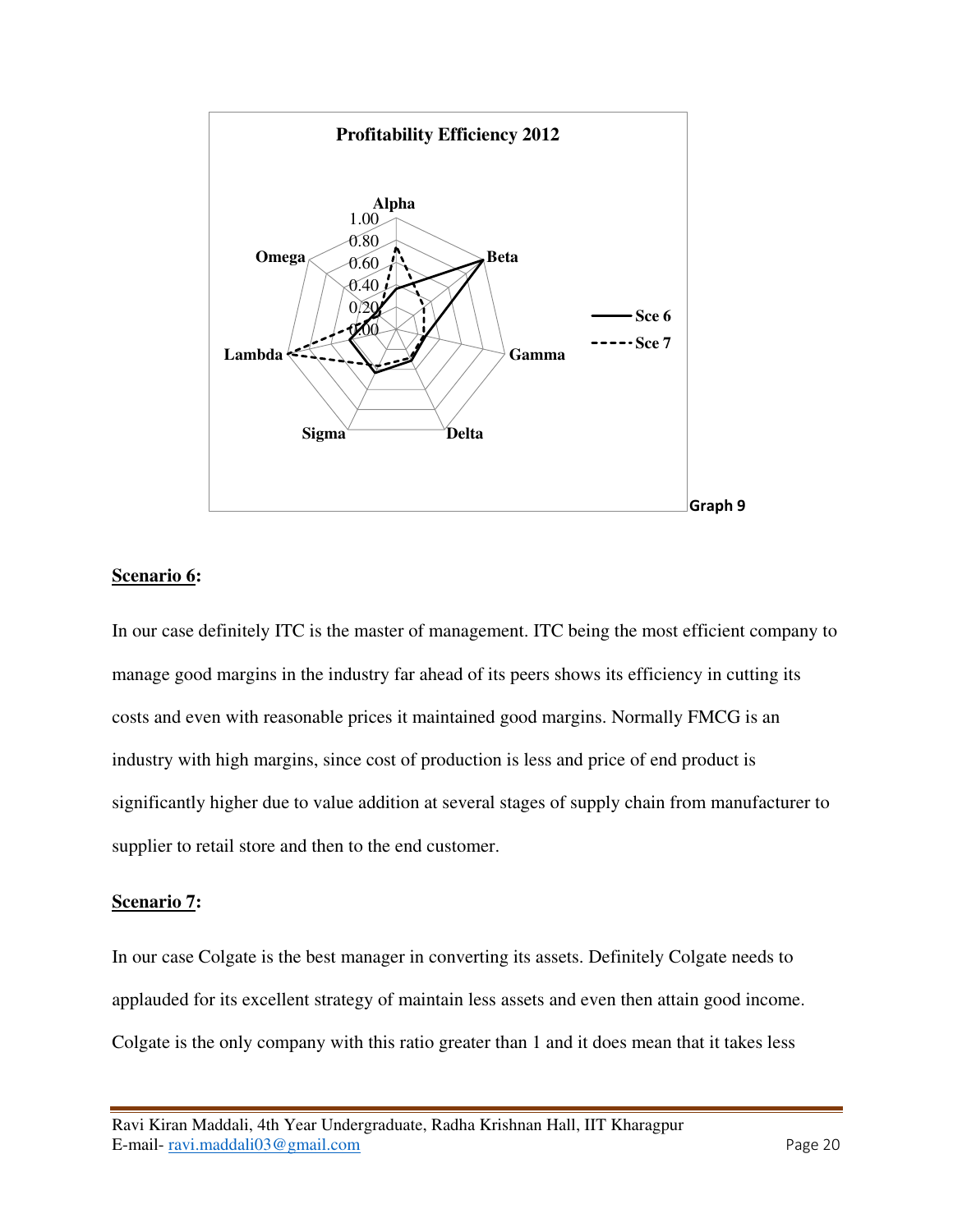

#### **Scenario 6:**

In our case definitely ITC is the master of management. ITC being the most efficient company to manage good margins in the industry far ahead of its peers shows its efficiency in cutting its costs and even with reasonable prices it maintained good margins. Normally FMCG is an industry with high margins, since cost of production is less and price of end product is significantly higher due to value addition at several stages of supply chain from manufacturer to supplier to retail store and then to the end customer.

#### **Scenario 7:**

In our case Colgate is the best manager in converting its assets. Definitely Colgate needs to applauded for its excellent strategy of maintain less assets and even then attain good income. Colgate is the only company with this ratio greater than 1 and it does mean that it takes less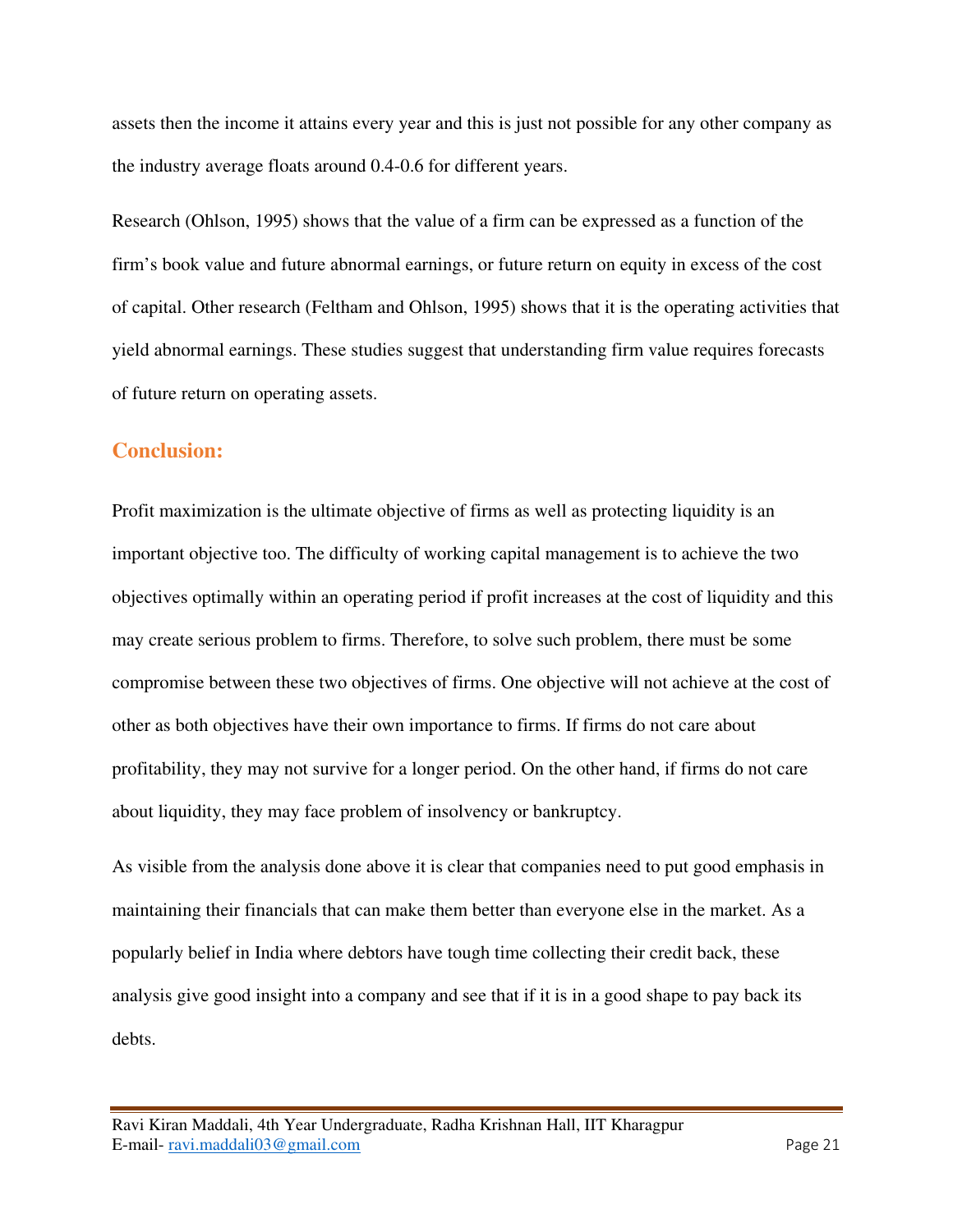assets then the income it attains every year and this is just not possible for any other company as the industry average floats around 0.4-0.6 for different years.

Research (Ohlson, 1995) shows that the value of a firm can be expressed as a function of the firm's book value and future abnormal earnings, or future return on equity in excess of the cost of capital. Other research (Feltham and Ohlson, 1995) shows that it is the operating activities that yield abnormal earnings. These studies suggest that understanding firm value requires forecasts of future return on operating assets.

#### **Conclusion:**

Profit maximization is the ultimate objective of firms as well as protecting liquidity is an important objective too. The difficulty of working capital management is to achieve the two objectives optimally within an operating period if profit increases at the cost of liquidity and this may create serious problem to firms. Therefore, to solve such problem, there must be some compromise between these two objectives of firms. One objective will not achieve at the cost of other as both objectives have their own importance to firms. If firms do not care about profitability, they may not survive for a longer period. On the other hand, if firms do not care about liquidity, they may face problem of insolvency or bankruptcy.

As visible from the analysis done above it is clear that companies need to put good emphasis in maintaining their financials that can make them better than everyone else in the market. As a popularly belief in India where debtors have tough time collecting their credit back, these analysis give good insight into a company and see that if it is in a good shape to pay back its debts.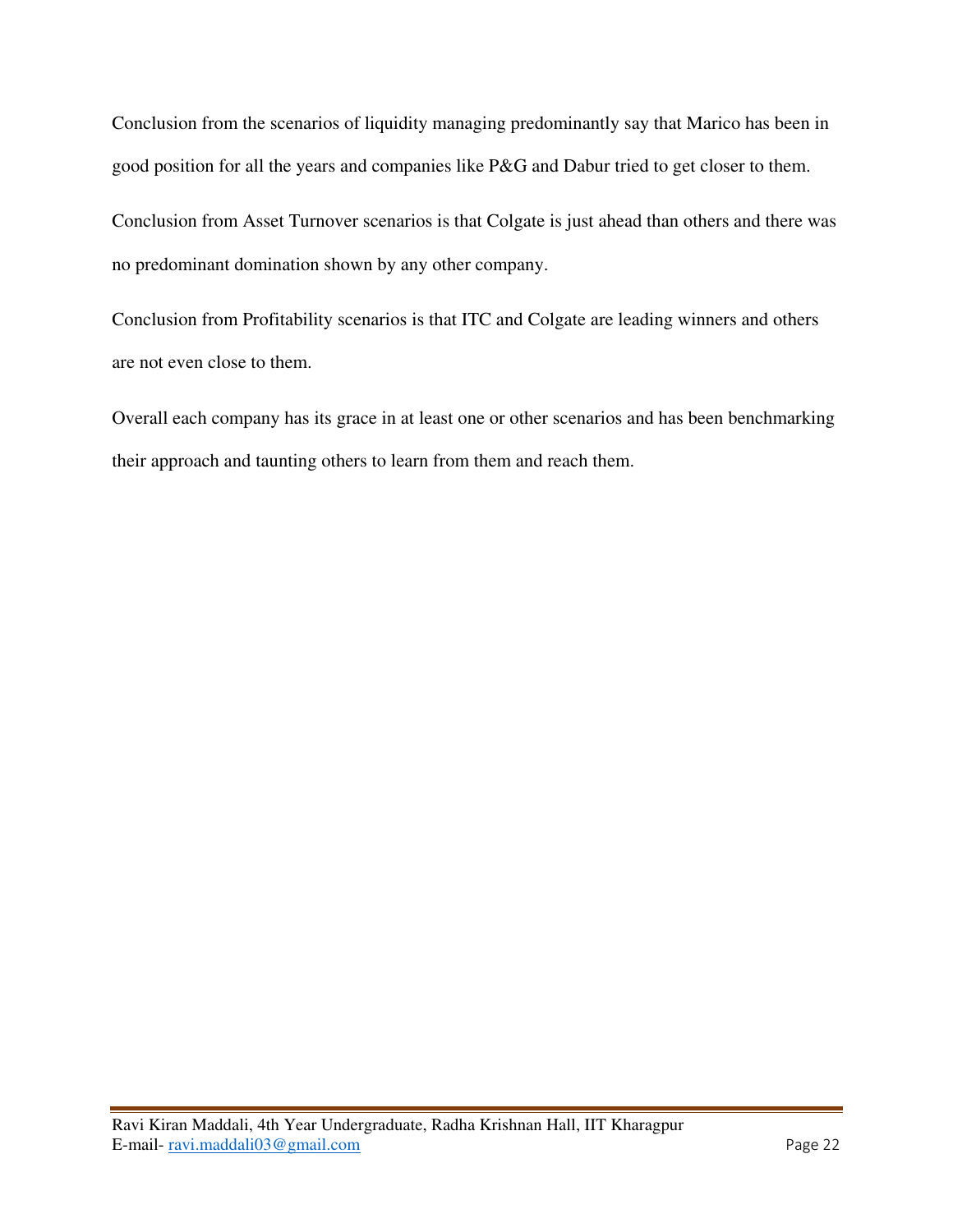Conclusion from the scenarios of liquidity managing predominantly say that Marico has been in good position for all the years and companies like P&G and Dabur tried to get closer to them.

Conclusion from Asset Turnover scenarios is that Colgate is just ahead than others and there was no predominant domination shown by any other company.

Conclusion from Profitability scenarios is that ITC and Colgate are leading winners and others are not even close to them.

Overall each company has its grace in at least one or other scenarios and has been benchmarking their approach and taunting others to learn from them and reach them.